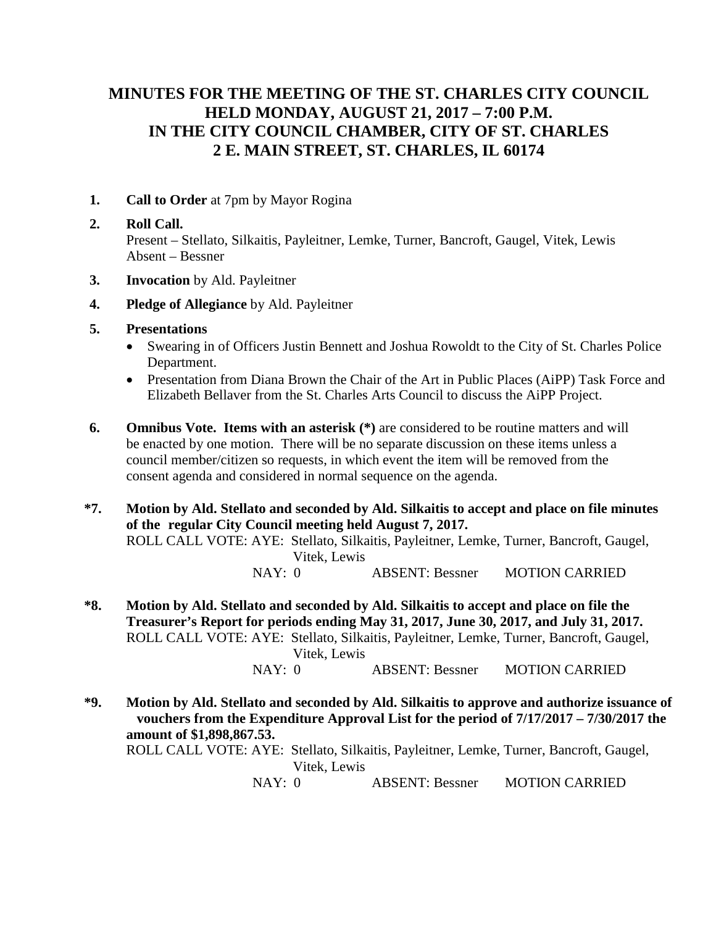# **MINUTES FOR THE MEETING OF THE ST. CHARLES CITY COUNCIL HELD MONDAY, AUGUST 21, 2017 – 7:00 P.M. IN THE CITY COUNCIL CHAMBER, CITY OF ST. CHARLES 2 E. MAIN STREET, ST. CHARLES, IL 60174**

**1. Call to Order** at 7pm by Mayor Rogina

### **2. Roll Call.**

Present – Stellato, Silkaitis, Payleitner, Lemke, Turner, Bancroft, Gaugel, Vitek, Lewis Absent – Bessner

- **3. Invocation** by Ald. Payleitner
- **4. Pledge of Allegiance** by Ald. Payleitner
- **5. Presentations**
	- Swearing in of Officers Justin Bennett and Joshua Rowoldt to the City of St. Charles Police Department.
	- Presentation from Diana Brown the Chair of the Art in Public Places (AiPP) Task Force and Elizabeth Bellaver from the St. Charles Arts Council to discuss the AiPP Project.
- **6. Omnibus Vote. Items with an asterisk (\*)** are considered to be routine matters and will be enacted by one motion. There will be no separate discussion on these items unless a council member/citizen so requests, in which event the item will be removed from the consent agenda and considered in normal sequence on the agenda.

**\*7. Motion by Ald. Stellato and seconded by Ald. Silkaitis to accept and place on file minutes of the regular City Council meeting held August 7, 2017.**  ROLL CALL VOTE: AYE: Stellato, Silkaitis, Payleitner, Lemke, Turner, Bancroft, Gaugel, Vitek, Lewis NAY: 0 ABSENT: Bessner MOTION CARRIED

- **\*8. Motion by Ald. Stellato and seconded by Ald. Silkaitis to accept and place on file the Treasurer's Report for periods ending May 31, 2017, June 30, 2017, and July 31, 2017.** ROLL CALL VOTE: AYE: Stellato, Silkaitis, Payleitner, Lemke, Turner, Bancroft, Gaugel, Vitek, Lewis NAY: 0 ABSENT: Bessner MOTION CARRIED
- **\*9. Motion by Ald. Stellato and seconded by Ald. Silkaitis to approve and authorize issuance of vouchers from the Expenditure Approval List for the period of 7/17/2017 – 7/30/2017 the amount of \$1,898,867.53.** ROLL CALL VOTE: AYE: Stellato, Silkaitis, Payleitner, Lemke, Turner, Bancroft, Gaugel, Vitek, Lewis NAY: 0 ABSENT: Bessner MOTION CARRIED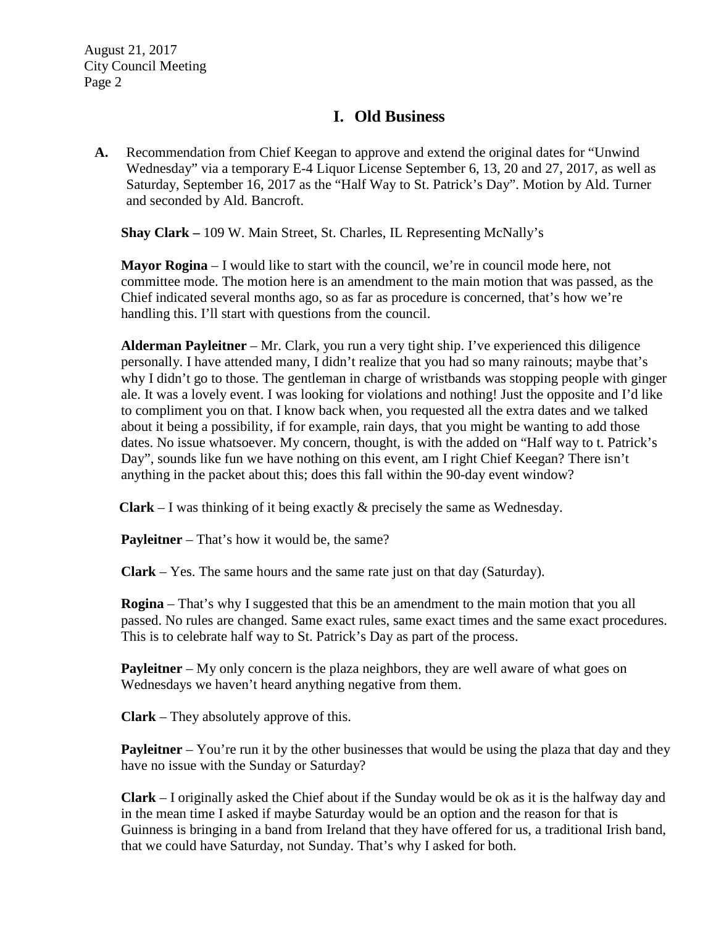### **I. Old Business**

**A.** Recommendation from Chief Keegan to approve and extend the original dates for "Unwind Wednesday" via a temporary E-4 Liquor License September 6, 13, 20 and 27, 2017, as well as Saturday, September 16, 2017 as the "Half Way to St. Patrick's Day". Motion by Ald. Turner and seconded by Ald. Bancroft.

**Shay Clark –** 109 W. Main Street, St. Charles, IL Representing McNally's

**Mayor Rogina** – I would like to start with the council, we're in council mode here, not committee mode. The motion here is an amendment to the main motion that was passed, as the Chief indicated several months ago, so as far as procedure is concerned, that's how we're handling this. I'll start with questions from the council.

**Alderman Payleitner** – Mr. Clark, you run a very tight ship. I've experienced this diligence personally. I have attended many, I didn't realize that you had so many rainouts; maybe that's why I didn't go to those. The gentleman in charge of wristbands was stopping people with ginger ale. It was a lovely event. I was looking for violations and nothing! Just the opposite and I'd like to compliment you on that. I know back when, you requested all the extra dates and we talked about it being a possibility, if for example, rain days, that you might be wanting to add those dates. No issue whatsoever. My concern, thought, is with the added on "Half way to t. Patrick's Day", sounds like fun we have nothing on this event, am I right Chief Keegan? There isn't anything in the packet about this; does this fall within the 90-day event window?

**Clark** – I was thinking of it being exactly & precisely the same as Wednesday.

**Payleitner** – That's how it would be, the same?

**Clark** – Yes. The same hours and the same rate just on that day (Saturday).

**Rogina** – That's why I suggested that this be an amendment to the main motion that you all passed. No rules are changed. Same exact rules, same exact times and the same exact procedures. This is to celebrate half way to St. Patrick's Day as part of the process.

**Payleitner** – My only concern is the plaza neighbors, they are well aware of what goes on Wednesdays we haven't heard anything negative from them.

**Clark** – They absolutely approve of this.

**Payleitner** – You're run it by the other businesses that would be using the plaza that day and they have no issue with the Sunday or Saturday?

**Clark** – I originally asked the Chief about if the Sunday would be ok as it is the halfway day and in the mean time I asked if maybe Saturday would be an option and the reason for that is Guinness is bringing in a band from Ireland that they have offered for us, a traditional Irish band, that we could have Saturday, not Sunday. That's why I asked for both.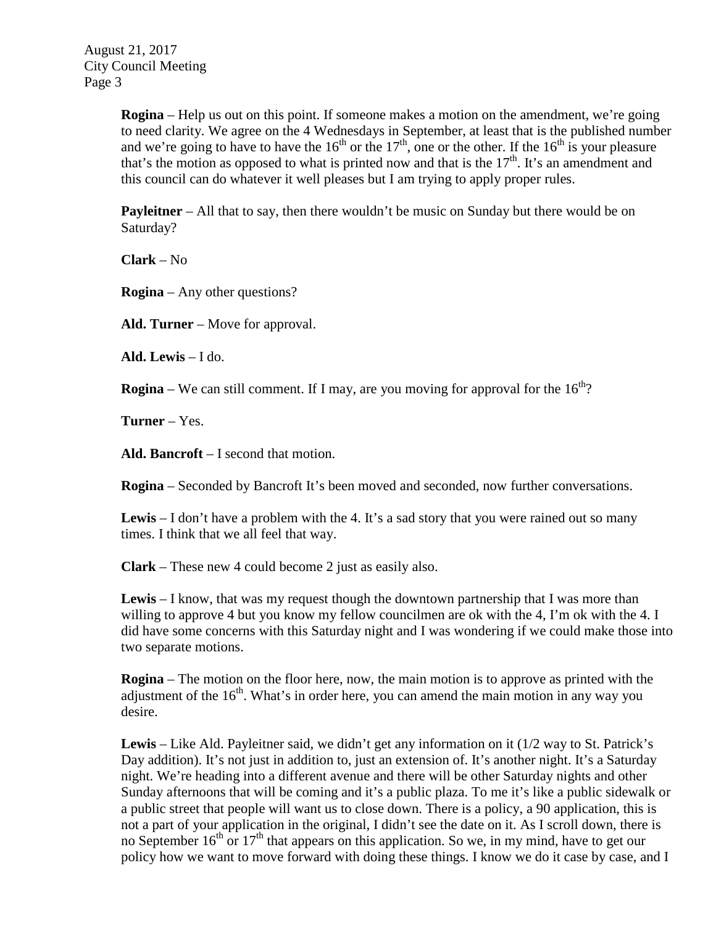> **Rogina** – Help us out on this point. If someone makes a motion on the amendment, we're going to need clarity. We agree on the 4 Wednesdays in September, at least that is the published number and we're going to have to have the 16<sup>th</sup> or the 17<sup>th</sup>, one or the other. If the 16<sup>th</sup> is your pleasure that's the motion as opposed to what is printed now and that is the  $17<sup>th</sup>$ . It's an amendment and this council can do whatever it well pleases but I am trying to apply proper rules.

**Payleitner** – All that to say, then there wouldn't be music on Sunday but there would be on Saturday?

**Clark** – No

**Rogina** – Any other questions?

**Ald. Turner** – Move for approval.

**Ald. Lewis** – I do.

**Rogina** – We can still comment. If I may, are you moving for approval for the  $16<sup>th</sup>$ ?

**Turner** – Yes.

**Ald. Bancroft** – I second that motion.

**Rogina** – Seconded by Bancroft It's been moved and seconded, now further conversations.

Lewis – I don't have a problem with the 4. It's a sad story that you were rained out so many times. I think that we all feel that way.

**Clark** – These new 4 could become 2 just as easily also.

**Lewis** – I know, that was my request though the downtown partnership that I was more than willing to approve 4 but you know my fellow councilmen are ok with the 4, I'm ok with the 4. I did have some concerns with this Saturday night and I was wondering if we could make those into two separate motions.

**Rogina** – The motion on the floor here, now, the main motion is to approve as printed with the adjustment of the  $16<sup>th</sup>$ . What's in order here, you can amend the main motion in any way you desire.

**Lewis** – Like Ald. Payleitner said, we didn't get any information on it (1/2 way to St. Patrick's Day addition). It's not just in addition to, just an extension of. It's another night. It's a Saturday night. We're heading into a different avenue and there will be other Saturday nights and other Sunday afternoons that will be coming and it's a public plaza. To me it's like a public sidewalk or a public street that people will want us to close down. There is a policy, a 90 application, this is not a part of your application in the original, I didn't see the date on it. As I scroll down, there is no September  $16<sup>th</sup>$  or  $17<sup>th</sup>$  that appears on this application. So we, in my mind, have to get our policy how we want to move forward with doing these things. I know we do it case by case, and I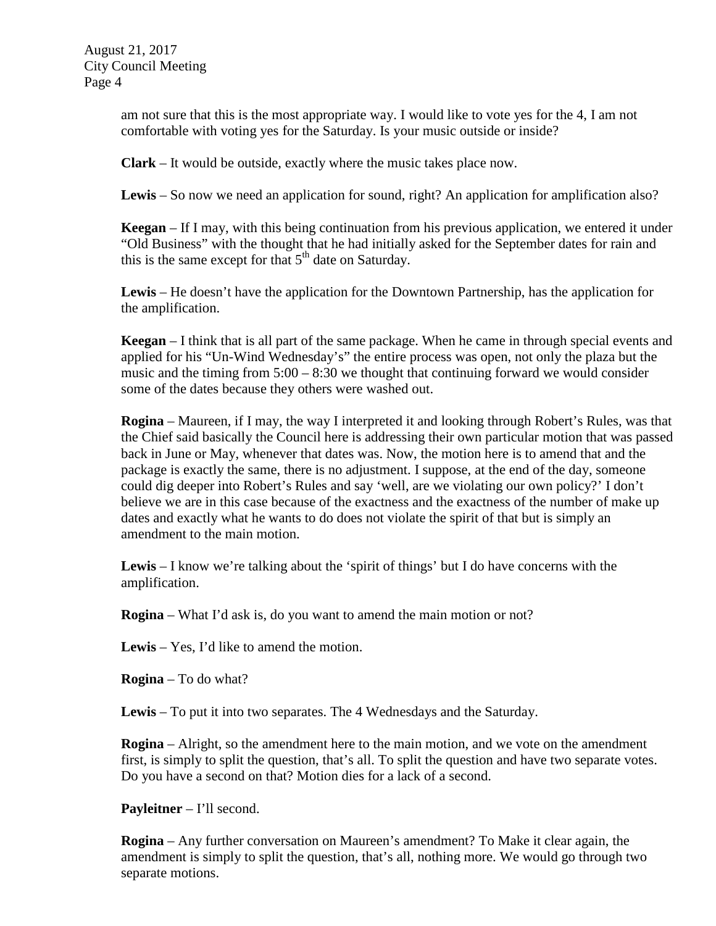> am not sure that this is the most appropriate way. I would like to vote yes for the 4, I am not comfortable with voting yes for the Saturday. Is your music outside or inside?

**Clark** – It would be outside, exactly where the music takes place now.

**Lewis** – So now we need an application for sound, right? An application for amplification also?

**Keegan** – If I may, with this being continuation from his previous application, we entered it under "Old Business" with the thought that he had initially asked for the September dates for rain and this is the same except for that  $5<sup>th</sup>$  date on Saturday.

**Lewis** – He doesn't have the application for the Downtown Partnership, has the application for the amplification.

**Keegan** – I think that is all part of the same package. When he came in through special events and applied for his "Un-Wind Wednesday's" the entire process was open, not only the plaza but the music and the timing from  $5:00 - 8:30$  we thought that continuing forward we would consider some of the dates because they others were washed out.

**Rogina** – Maureen, if I may, the way I interpreted it and looking through Robert's Rules, was that the Chief said basically the Council here is addressing their own particular motion that was passed back in June or May, whenever that dates was. Now, the motion here is to amend that and the package is exactly the same, there is no adjustment. I suppose, at the end of the day, someone could dig deeper into Robert's Rules and say 'well, are we violating our own policy?' I don't believe we are in this case because of the exactness and the exactness of the number of make up dates and exactly what he wants to do does not violate the spirit of that but is simply an amendment to the main motion.

**Lewis** – I know we're talking about the 'spirit of things' but I do have concerns with the amplification.

**Rogina** – What I'd ask is, do you want to amend the main motion or not?

**Lewis** – Yes, I'd like to amend the motion.

**Rogina** – To do what?

**Lewis** – To put it into two separates. The 4 Wednesdays and the Saturday.

**Rogina** – Alright, so the amendment here to the main motion, and we vote on the amendment first, is simply to split the question, that's all. To split the question and have two separate votes. Do you have a second on that? Motion dies for a lack of a second.

**Payleitner** – I'll second.

**Rogina** – Any further conversation on Maureen's amendment? To Make it clear again, the amendment is simply to split the question, that's all, nothing more. We would go through two separate motions.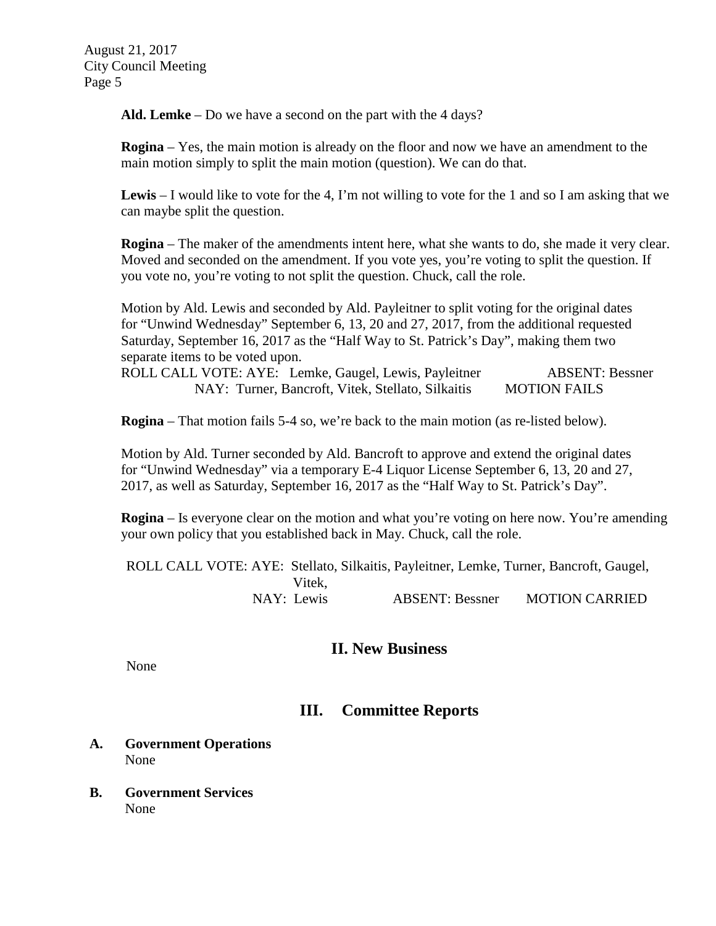**Ald. Lemke** – Do we have a second on the part with the 4 days?

**Rogina** – Yes, the main motion is already on the floor and now we have an amendment to the main motion simply to split the main motion (question). We can do that.

**Lewis** – I would like to vote for the 4, I'm not willing to vote for the 1 and so I am asking that we can maybe split the question.

**Rogina** – The maker of the amendments intent here, what she wants to do, she made it very clear. Moved and seconded on the amendment. If you vote yes, you're voting to split the question. If you vote no, you're voting to not split the question. Chuck, call the role.

Motion by Ald. Lewis and seconded by Ald. Payleitner to split voting for the original dates for "Unwind Wednesday" September 6, 13, 20 and 27, 2017, from the additional requested Saturday, September 16, 2017 as the "Half Way to St. Patrick's Day", making them two separate items to be voted upon.

ROLL CALL VOTE: AYE: Lemke, Gaugel, Lewis, Payleitner ABSENT: Bessner NAY: Turner, Bancroft, Vitek, Stellato, Silkaitis MOTION FAILS

**Rogina** – That motion fails 5-4 so, we're back to the main motion (as re-listed below).

Motion by Ald. Turner seconded by Ald. Bancroft to approve and extend the original dates for "Unwind Wednesday" via a temporary E-4 Liquor License September 6, 13, 20 and 27, 2017, as well as Saturday, September 16, 2017 as the "Half Way to St. Patrick's Day".

**Rogina** – Is everyone clear on the motion and what you're voting on here now. You're amending your own policy that you established back in May. Chuck, call the role.

ROLL CALL VOTE: AYE: Stellato, Silkaitis, Payleitner, Lemke, Turner, Bancroft, Gaugel, Vitek,<br>NAY: Lewis ABSENT: Bessner MOTION CARRIED

### **II. New Business**

None

## **III. Committee Reports**

- **A. Government Operations** None
- **B. Government Services** None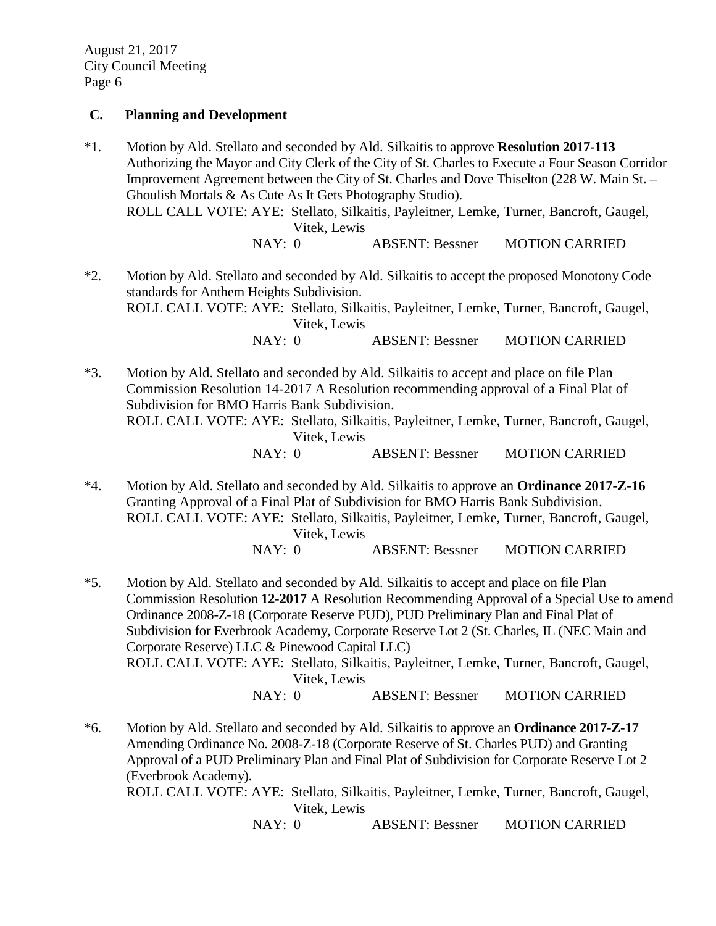#### **C. Planning and Development**

\*1. Motion by Ald. Stellato and seconded by Ald. Silkaitis to approve **Resolution 2017-113** Authorizing the Mayor and City Clerk of the City of St. Charles to Execute a Four Season Corridor Improvement Agreement between the City of St. Charles and Dove Thiselton (228 W. Main St. – Ghoulish Mortals & As Cute As It Gets Photography Studio). ROLL CALL VOTE: AYE: Stellato, Silkaitis, Payleitner, Lemke, Turner, Bancroft, Gaugel, Vitek, Lewis

NAY: 0 ABSENT: Bessner MOTION CARRIED

\*2. Motion by Ald. Stellato and seconded by Ald. Silkaitis to accept the proposed Monotony Code standards for Anthem Heights Subdivision. ROLL CALL VOTE: AYE: Stellato, Silkaitis, Payleitner, Lemke, Turner, Bancroft, Gaugel, Vitek, Lewis NAY: 0 ABSENT: Bessner MOTION CARRIED

\*3. Motion by Ald. Stellato and seconded by Ald. Silkaitis to accept and place on file Plan Commission Resolution 14-2017 A Resolution recommending approval of a Final Plat of Subdivision for BMO Harris Bank Subdivision. ROLL CALL VOTE: AYE: Stellato, Silkaitis, Payleitner, Lemke, Turner, Bancroft, Gaugel, Vitek, Lewis NAY: 0 ABSENT: Bessner MOTION CARRIED

\*4. Motion by Ald. Stellato and seconded by Ald. Silkaitis to approve an **Ordinance 2017-Z-16** Granting Approval of a Final Plat of Subdivision for BMO Harris Bank Subdivision. ROLL CALL VOTE: AYE: Stellato, Silkaitis, Payleitner, Lemke, Turner, Bancroft, Gaugel, Vitek, Lewis NAY: 0 ABSENT: Bessner MOTION CARRIED

\*5. Motion by Ald. Stellato and seconded by Ald. Silkaitis to accept and place on file Plan Commission Resolution **12-2017** A Resolution Recommending Approval of a Special Use to amend Ordinance 2008-Z-18 (Corporate Reserve PUD), PUD Preliminary Plan and Final Plat of Subdivision for Everbrook Academy, Corporate Reserve Lot 2 (St. Charles, IL (NEC Main and Corporate Reserve) LLC & Pinewood Capital LLC) ROLL CALL VOTE: AYE: Stellato, Silkaitis, Payleitner, Lemke, Turner, Bancroft, Gaugel, Vitek, Lewis

NAY: 0 ABSENT: Bessner MOTION CARRIED

\*6. Motion by Ald. Stellato and seconded by Ald. Silkaitis to approve an **Ordinance 2017-Z-17** Amending Ordinance No. 2008-Z-18 (Corporate Reserve of St. Charles PUD) and Granting Approval of a PUD Preliminary Plan and Final Plat of Subdivision for Corporate Reserve Lot 2 (Everbrook Academy). ROLL CALL VOTE: AYE: Stellato, Silkaitis, Payleitner, Lemke, Turner, Bancroft, Gaugel,

Vitek, Lewis

NAY: 0 ABSENT: Bessner MOTION CARRIED